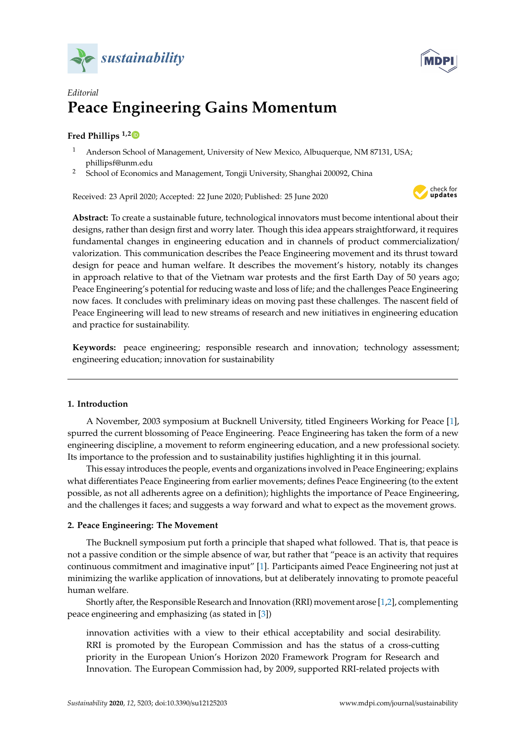



# *Editorial* **Peace Engineering Gains Momentum**

## **Fred Phillips 1,[2](https://orcid.org/0000-0002-1409-6889)**

- <sup>1</sup> Anderson School of Management, University of New Mexico, Albuquerque, NM 87131, USA; phillipsf@unm.edu
- <sup>2</sup> School of Economics and Management, Tongji University, Shanghai 200092, China

Received: 23 April 2020; Accepted: 22 June 2020; Published: 25 June 2020



**Abstract:** To create a sustainable future, technological innovators must become intentional about their designs, rather than design first and worry later. Though this idea appears straightforward, it requires fundamental changes in engineering education and in channels of product commercialization/ valorization. This communication describes the Peace Engineering movement and its thrust toward design for peace and human welfare. It describes the movement's history, notably its changes in approach relative to that of the Vietnam war protests and the first Earth Day of 50 years ago; Peace Engineering's potential for reducing waste and loss of life; and the challenges Peace Engineering now faces. It concludes with preliminary ideas on moving past these challenges. The nascent field of Peace Engineering will lead to new streams of research and new initiatives in engineering education and practice for sustainability.

**Keywords:** peace engineering; responsible research and innovation; technology assessment; engineering education; innovation for sustainability

## **1. Introduction**

A November, 2003 symposium at Bucknell University, titled Engineers Working for Peace [\[1\]](#page-3-0), spurred the current blossoming of Peace Engineering. Peace Engineering has taken the form of a new engineering discipline, a movement to reform engineering education, and a new professional society. Its importance to the profession and to sustainability justifies highlighting it in this journal.

This essay introduces the people, events and organizations involved in Peace Engineering; explains what differentiates Peace Engineering from earlier movements; defines Peace Engineering (to the extent possible, as not all adherents agree on a definition); highlights the importance of Peace Engineering, and the challenges it faces; and suggests a way forward and what to expect as the movement grows.

## **2. Peace Engineering: The Movement**

The Bucknell symposium put forth a principle that shaped what followed. That is, that peace is not a passive condition or the simple absence of war, but rather that "peace is an activity that requires continuous commitment and imaginative input" [\[1\]](#page-3-0). Participants aimed Peace Engineering not just at minimizing the warlike application of innovations, but at deliberately innovating to promote peaceful human welfare.

Shortly after, the Responsible Research and Innovation (RRI) movement arose [\[1](#page-3-0)[,2\]](#page-3-1), complementing peace engineering and emphasizing (as stated in [\[3\]](#page-3-2))

innovation activities with a view to their ethical acceptability and social desirability. RRI is promoted by the European Commission and has the status of a cross-cutting priority in the European Union's Horizon 2020 Framework Program for Research and Innovation. The European Commission had, by 2009, supported RRI-related projects with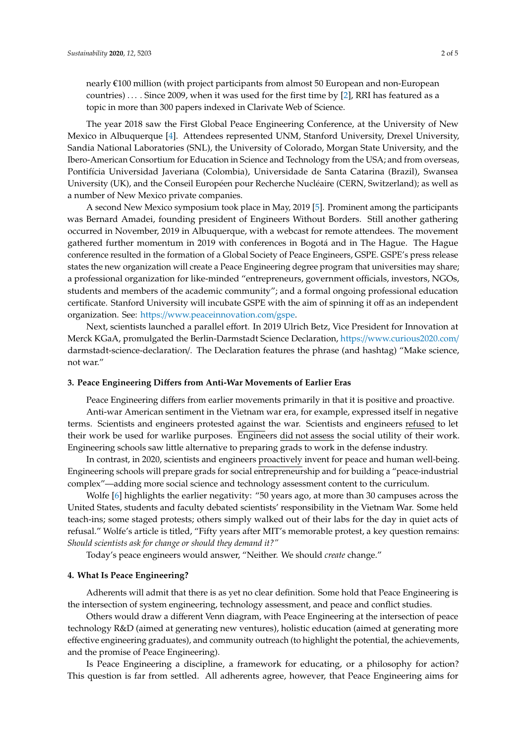nearly €100 million (with project participants from almost 50 European and non-European countries) . . . . Since 2009, when it was used for the first time by [\[2\]](#page-3-1), RRI has featured as a topic in more than 300 papers indexed in Clarivate Web of Science.

The year 2018 saw the First Global Peace Engineering Conference, at the University of New Mexico in Albuquerque [\[4\]](#page-3-3). Attendees represented UNM, Stanford University, Drexel University, Sandia National Laboratories (SNL), the University of Colorado, Morgan State University, and the Ibero-American Consortium for Education in Science and Technology from the USA; and from overseas, Pontifícia Universidad Javeriana (Colombia), Universidade de Santa Catarina (Brazil), Swansea University (UK), and the Conseil Européen pour Recherche Nucléaire (CERN, Switzerland); as well as a number of New Mexico private companies.

A second New Mexico symposium took place in May, 2019 [\[5\]](#page-3-4). Prominent among the participants was Bernard Amadei, founding president of Engineers Without Borders. Still another gathering occurred in November, 2019 in Albuquerque, with a webcast for remote attendees. The movement gathered further momentum in 2019 with conferences in Bogotá and in The Hague. The Hague conference resulted in the formation of a Global Society of Peace Engineers, GSPE. GSPE's press release states the new organization will create a Peace Engineering degree program that universities may share; a professional organization for like-minded "entrepreneurs, government officials, investors, NGOs, students and members of the academic community"; and a formal ongoing professional education certificate. Stanford University will incubate GSPE with the aim of spinning it off as an independent organization. See: https://[www.peaceinnovation.com](https://www.peaceinnovation.com/gspe)/gspe.

Next, scientists launched a parallel effort. In 2019 Ulrich Betz, Vice President for Innovation at Merck KGaA, promulgated the Berlin-Darmstadt Science Declaration, https://[www.curious2020.com](https://www.curious2020.com/)/ darmstadt-science-declaration/. The Declaration features the phrase (and hashtag) "Make science, not war."

#### **3. Peace Engineering Di**ff**ers from Anti-War Movements of Earlier Eras**

Peace Engineering differs from earlier movements primarily in that it is positive and proactive. Anti-war American sentiment in the Vietnam war era, for example, expressed itself in negative terms. Scientists and engineers protested against the war. Scientists and engineers refused to let their work be used for warlike purposes. Engineers did not assess the social utility of their work. Engineering schools saw little alternative to preparing grads to work in the defense industry.

In contrast, in 2020, scientists and engineers proactively invent for peace and human well-being. Engineering schools will prepare grads for social entrepreneurship and for building a "peace-industrial complex"—adding more social science and technology assessment content to the curriculum.

Wolfe [\[6\]](#page-3-5) highlights the earlier negativity: "50 years ago, at more than 30 campuses across the United States, students and faculty debated scientists' responsibility in the Vietnam War. Some held teach-ins; some staged protests; others simply walked out of their labs for the day in quiet acts of refusal." Wolfe's article is titled, "Fifty years after MIT's memorable protest, a key question remains: *Should scientists ask for change or should they demand it?"*

Today's peace engineers would answer, "Neither. We should *create* change."

#### **4. What Is Peace Engineering?**

Adherents will admit that there is as yet no clear definition. Some hold that Peace Engineering is the intersection of system engineering, technology assessment, and peace and conflict studies.

Others would draw a different Venn diagram, with Peace Engineering at the intersection of peace technology R&D (aimed at generating new ventures), holistic education (aimed at generating more effective engineering graduates), and community outreach (to highlight the potential, the achievements, and the promise of Peace Engineering).

Is Peace Engineering a discipline, a framework for educating, or a philosophy for action? This question is far from settled. All adherents agree, however, that Peace Engineering aims for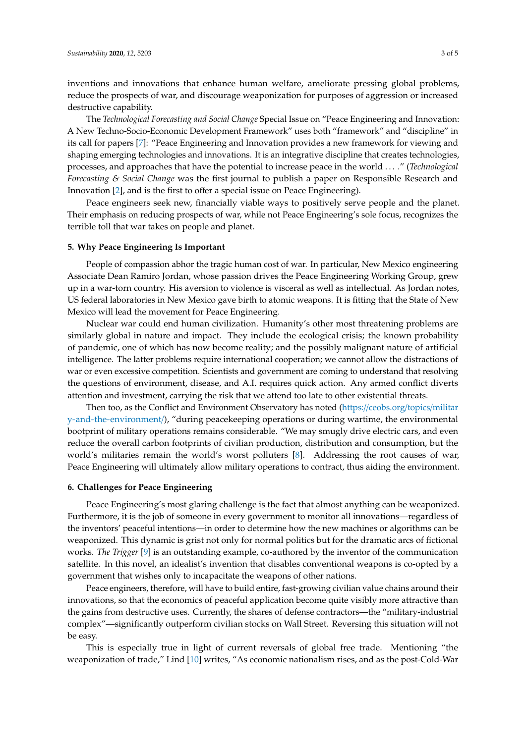inventions and innovations that enhance human welfare, ameliorate pressing global problems, reduce the prospects of war, and discourage weaponization for purposes of aggression or increased destructive capability.

The *Technological Forecasting and Social Change* Special Issue on "Peace Engineering and Innovation: A New Techno-Socio-Economic Development Framework" uses both "framework" and "discipline" in its call for papers [\[7\]](#page-3-6): "Peace Engineering and Innovation provides a new framework for viewing and shaping emerging technologies and innovations. It is an integrative discipline that creates technologies, processes, and approaches that have the potential to increase peace in the world . . . ." (*Technological Forecasting & Social Change* was the first journal to publish a paper on Responsible Research and Innovation [\[2\]](#page-3-1), and is the first to offer a special issue on Peace Engineering).

Peace engineers seek new, financially viable ways to positively serve people and the planet. Their emphasis on reducing prospects of war, while not Peace Engineering's sole focus, recognizes the terrible toll that war takes on people and planet.

#### **5. Why Peace Engineering Is Important**

People of compassion abhor the tragic human cost of war. In particular, New Mexico engineering Associate Dean Ramiro Jordan, whose passion drives the Peace Engineering Working Group, grew up in a war-torn country. His aversion to violence is visceral as well as intellectual. As Jordan notes, US federal laboratories in New Mexico gave birth to atomic weapons. It is fitting that the State of New Mexico will lead the movement for Peace Engineering.

Nuclear war could end human civilization. Humanity's other most threatening problems are similarly global in nature and impact. They include the ecological crisis; the known probability of pandemic, one of which has now become reality; and the possibly malignant nature of artificial intelligence. The latter problems require international cooperation; we cannot allow the distractions of war or even excessive competition. Scientists and government are coming to understand that resolving the questions of environment, disease, and A.I. requires quick action. Any armed conflict diverts attention and investment, carrying the risk that we attend too late to other existential threats.

Then too, as the Conflict and Environment Observatory has noted (https://[ceobs.org](https://ceobs.org/topics/military-and-the-environment/)/topics/militar [y-and-the-environment](https://ceobs.org/topics/military-and-the-environment/)/), "during peacekeeping operations or during wartime, the environmental bootprint of military operations remains considerable. "We may smugly drive electric cars, and even reduce the overall carbon footprints of civilian production, distribution and consumption, but the world's militaries remain the world's worst polluters [\[8\]](#page-3-7). Addressing the root causes of war, Peace Engineering will ultimately allow military operations to contract, thus aiding the environment.

### **6. Challenges for Peace Engineering**

Peace Engineering's most glaring challenge is the fact that almost anything can be weaponized. Furthermore, it is the job of someone in every government to monitor all innovations—regardless of the inventors' peaceful intentions—in order to determine how the new machines or algorithms can be weaponized. This dynamic is grist not only for normal politics but for the dramatic arcs of fictional works. *The Trigger* [\[9\]](#page-3-8) is an outstanding example, co-authored by the inventor of the communication satellite. In this novel, an idealist's invention that disables conventional weapons is co-opted by a government that wishes only to incapacitate the weapons of other nations.

Peace engineers, therefore, will have to build entire, fast-growing civilian value chains around their innovations, so that the economics of peaceful application become quite visibly more attractive than the gains from destructive uses. Currently, the shares of defense contractors—the "military-industrial complex"—significantly outperform civilian stocks on Wall Street. Reversing this situation will not be easy.

This is especially true in light of current reversals of global free trade. Mentioning "the weaponization of trade," Lind [\[10\]](#page-3-9) writes, "As economic nationalism rises, and as the post-Cold-War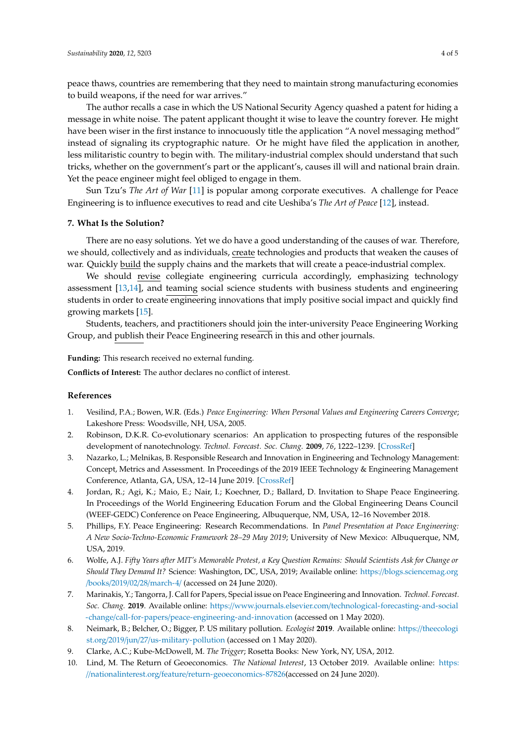peace thaws, countries are remembering that they need to maintain strong manufacturing economies to build weapons, if the need for war arrives."

The author recalls a case in which the US National Security Agency quashed a patent for hiding a message in white noise. The patent applicant thought it wise to leave the country forever. He might have been wiser in the first instance to innocuously title the application "A novel messaging method" instead of signaling its cryptographic nature. Or he might have filed the application in another, less militaristic country to begin with. The military-industrial complex should understand that such tricks, whether on the government's part or the applicant's, causes ill will and national brain drain. Yet the peace engineer might feel obliged to engage in them.

Sun Tzu's *The Art of War* [\[11\]](#page-4-0) is popular among corporate executives. A challenge for Peace Engineering is to influence executives to read and cite Ueshiba's *The Art of Peace* [\[12\]](#page-4-1), instead.

#### **7. What Is the Solution?**

There are no easy solutions. Yet we do have a good understanding of the causes of war. Therefore, we should, collectively and as individuals, create technologies and products that weaken the causes of war. Quickly build the supply chains and the markets that will create a peace-industrial complex.

We should revise collegiate engineering curricula accordingly, emphasizing technology assessment [\[13,](#page-4-2)[14\]](#page-4-3), and teaming social science students with business students and engineering students in order to create engineering innovations that imply positive social impact and quickly find growing markets [\[15\]](#page-4-4).

Students, teachers, and practitioners should join the inter-university Peace Engineering Working Group, and publish their Peace Engineering research in this and other journals.

**Funding:** This research received no external funding.

**Conflicts of Interest:** The author declares no conflict of interest.

#### **References**

- <span id="page-3-0"></span>1. Vesilind, P.A.; Bowen, W.R. (Eds.) *Peace Engineering: When Personal Values and Engineering Careers Converge*; Lakeshore Press: Woodsville, NH, USA, 2005.
- <span id="page-3-1"></span>2. Robinson, D.K.R. Co-evolutionary scenarios: An application to prospecting futures of the responsible development of nanotechnology. *Technol. Forecast. Soc. Chang.* **2009**, *76*, 1222–1239. [\[CrossRef\]](http://dx.doi.org/10.1016/j.techfore.2009.07.015)
- <span id="page-3-2"></span>3. Nazarko, L.; Melnikas, B. Responsible Research and Innovation in Engineering and Technology Management: Concept, Metrics and Assessment. In Proceedings of the 2019 IEEE Technology & Engineering Management Conference, Atlanta, GA, USA, 12–14 June 2019. [\[CrossRef\]](http://dx.doi.org/10.1109/temscon.2019.8813596)
- <span id="page-3-3"></span>4. Jordan, R.; Agi, K.; Maio, E.; Nair, I.; Koechner, D.; Ballard, D. Invitation to Shape Peace Engineering. In Proceedings of the World Engineering Education Forum and the Global Engineering Deans Council (WEEF-GEDC) Conference on Peace Engineering, Albuquerque, NM, USA, 12–16 November 2018.
- <span id="page-3-4"></span>5. Phillips, F.Y. Peace Engineering: Research Recommendations. In *Panel Presentation at Peace Engineering: A New Socio-Techno-Economic Framework 28–29 May 2019*; University of New Mexico: Albuquerque, NM, USA, 2019.
- <span id="page-3-5"></span>6. Wolfe, A.J. *Fifty Years after MIT's Memorable Protest, a Key Question Remains: Should Scientists Ask for Change or Should They Demand It?* Science: Washington, DC, USA, 2019; Available online: https://[blogs.sciencemag.org](https://blogs.sciencemag.org/books/2019/02/28/march-4/) /books/2019/02/28/[march-4](https://blogs.sciencemag.org/books/2019/02/28/march-4/)/ (accessed on 24 June 2020).
- <span id="page-3-6"></span>7. Marinakis, Y.; Tangorra, J. Call for Papers, Special issue on Peace Engineering and Innovation. *Technol. Forecast. Soc. Chang.* **2019**. Available online: https://www.journals.elsevier.com/[technological-forecasting-and-social](https://www.journals.elsevier.com/technological-forecasting-and-social-change/call-for-papers/peace-engineering-and-innovation) -change/call-for-papers/[peace-engineering-and-innovation](https://www.journals.elsevier.com/technological-forecasting-and-social-change/call-for-papers/peace-engineering-and-innovation) (accessed on 1 May 2020).
- <span id="page-3-7"></span>8. Neimark, B.; Belcher, O.; Bigger, P. US military pollution. *Ecologist* **2019**. Available online: https://[theecologi](https://theecologist.org/2019/jun/27/us-military-pollution) st.org/2019/jun/27/[us-military-pollution](https://theecologist.org/2019/jun/27/us-military-pollution) (accessed on 1 May 2020).
- <span id="page-3-8"></span>9. Clarke, A.C.; Kube-McDowell, M. *The Trigger*; Rosetta Books: New York, NY, USA, 2012.
- <span id="page-3-9"></span>10. Lind, M. The Return of Geoeconomics. *The National Interest*, 13 October 2019. Available online: [https:](https://nationalinterest.org/feature/return-geoeconomics-87826) //nationalinterest.org/feature/[return-geoeconomics-87826\(](https://nationalinterest.org/feature/return-geoeconomics-87826)accessed on 24 June 2020).